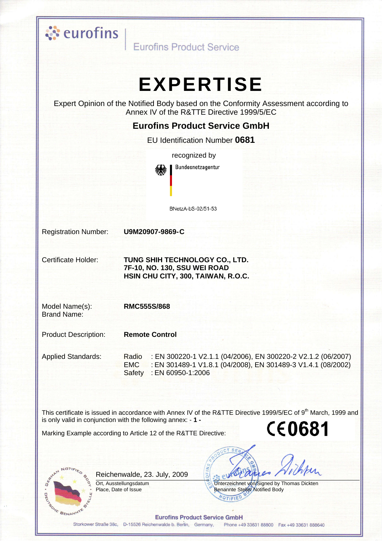

Eurofins Product Service

# **EXPERTISE**

Expert Opinion of the Notified Body based on the Conformity Assessment according to Annex IV of the R&TTE Directive 1999/5/EC

#### **Eurofins Product Service GmbH**

EU Identification Number 0681

recognized by Bundesnetzagentur BNetzA-bS-02/51-53

**Registration Number:** 

U9M20907-9869-C

Certificate Holder:

TUNG SHIH TECHNOLOGY CO., LTD. 7F-10, NO. 130, SSU WEI ROAD HSIN CHU CITY, 300, TAIWAN, R.O.C.

Model Name(s): Brand Name:

 $\overline{R}$ 

YE BENANNITE

**RMC555S/868** 

**Product Description: Remote Control** 

**Applied Standards:** Radio : EN 300220-1 V2.1.1 (04/2006). EN 300220-2 V2.1.2 (06/2007) **EMC** : EN 301489-1 V1.8.1 (04/2008), EN 301489-3 V1.4.1 (08/2002) Safety: EN 60950-1:2006

This certificate is issued in accordance with Annex IV of the R&TTE Directive 1999/5/EC of 9<sup>th</sup> March. 1999 and is only valid in conjunction with the following annex: - 1 -**CE0681** 

Marking Example according to Article 12 of the R&TTE Directive:

Reichenwalde, 23. July, 2009

Ort. Ausstellungsdatum Place. Date of Issue

Unterzeichnet von/Signed by Thomas Dickten Benannte Stelle/Notified Body VOTIFIED

**Eurofins Product Service GmbH** 

Storkower Straße 38c, D-15526 Reichenwalde b. Berlin, Germany, Phone +49 33631 88800 Fax +49 33631 888640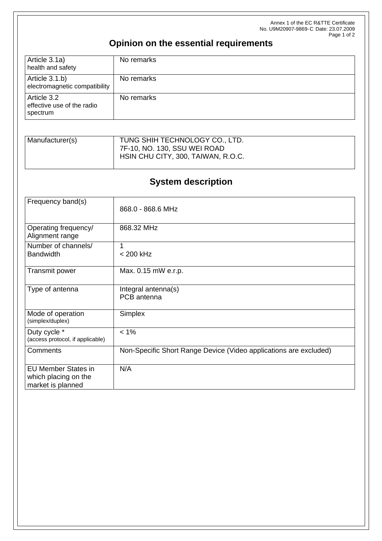Annex 1 of the EC R&TTE Certificate No. U9M20907-9869-C Date: 23.07.2009 Page 1 of 2

## **Opinion on the essential requirements**

| Article 3.1a)<br>health and safety                    | No remarks |
|-------------------------------------------------------|------------|
| Article 3.1.b)<br>electromagnetic compatibility       | No remarks |
| Article 3.2<br>effective use of the radio<br>spectrum | No remarks |

| Manufacturer(s) | TUNG SHIH TECHNOLOGY CO., LTD.     |
|-----------------|------------------------------------|
|                 | 7F-10, NO. 130, SSU WEI ROAD       |
|                 | HSIN CHU CITY, 300, TAIWAN, R.O.C. |
|                 |                                    |

## **System description**

| Frequency band(s)                                                       | 868.0 - 868.6 MHz                                                 |
|-------------------------------------------------------------------------|-------------------------------------------------------------------|
| Operating frequency/<br>Alignment range                                 | 868.32 MHz                                                        |
| Number of channels/<br><b>Bandwidth</b>                                 | 1<br>$< 200$ kHz                                                  |
| Transmit power                                                          | Max. 0.15 mW e.r.p.                                               |
| Type of antenna                                                         | Integral antenna(s)<br>PCB antenna                                |
| Mode of operation<br>(simplex/duplex)                                   | Simplex                                                           |
| Duty cycle *<br>(access protocol, if applicable)                        | $< 1\%$                                                           |
| Comments                                                                | Non-Specific Short Range Device (Video applications are excluded) |
| <b>EU Member States in</b><br>which placing on the<br>market is planned | N/A                                                               |